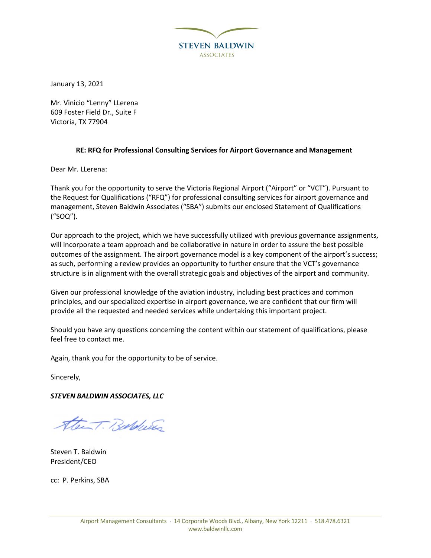

January 13, 2021

Mr. Vinicio "Lenny" LLerena 609 Foster Field Dr., Suite F Victoria, TX 77904

# **RE: RFQ for Professional Consulting Services for Airport Governance and Management**

Dear Mr. LLerena:

Thank you for the opportunity to serve the Victoria Regional Airport ("Airport" or "VCT"). Pursuant to the Request for Qualifications ("RFQ") for professional consulting services for airport governance and management, Steven Baldwin Associates ("SBA") submits our enclosed Statement of Qualifications ("SOQ").

Our approach to the project, which we have successfully utilized with previous governance assignments, will incorporate a team approach and be collaborative in nature in order to assure the best possible outcomes of the assignment. The airport governance model is a key component of the airport's success; as such, performing a review provides an opportunity to further ensure that the VCT's governance structure is in alignment with the overall strategic goals and objectives of the airport and community.

Given our professional knowledge of the aviation industry, including best practices and common principles, and our specialized expertise in airport governance, we are confident that our firm will provide all the requested and needed services while undertaking this important project.

Should you have any questions concerning the content within our statement of qualifications, please feel free to contact me.

Again, thank you for the opportunity to be of service.

Sincerely,

*STEVEN BALDWIN ASSOCIATES, LLC*

Stee T. Buldwa

Steven T. Baldwin President/CEO

cc: P. Perkins, SBA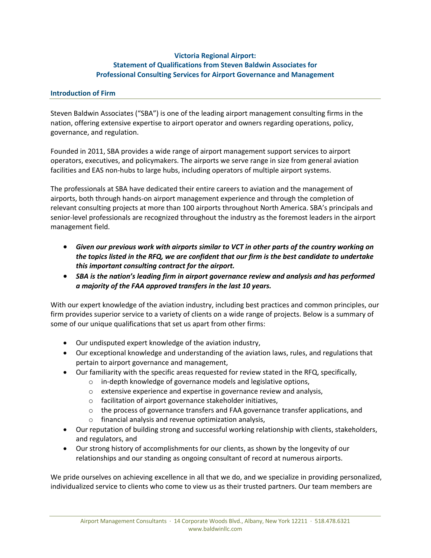# **Victoria Regional Airport: Statement of Qualifications from Steven Baldwin Associates for Professional Consulting Services for Airport Governance and Management**

# **Introduction of Firm**

Steven Baldwin Associates ("SBA") is one of the leading airport management consulting firms in the nation, offering extensive expertise to airport operator and owners regarding operations, policy, governance, and regulation.

Founded in 2011, SBA provides a wide range of airport management support services to airport operators, executives, and policymakers. The airports we serve range in size from general aviation facilities and EAS non-hubs to large hubs, including operators of multiple airport systems.

The professionals at SBA have dedicated their entire careers to aviation and the management of airports, both through hands-on airport management experience and through the completion of relevant consulting projects at more than 100 airports throughout North America. SBA's principals and senior-level professionals are recognized throughout the industry as the foremost leaders in the airport management field.

- *Given our previous work with airports similar to VCT in other parts of the country working on the topics listed in the RFQ, we are confident that our firm is the best candidate to undertake this important consulting contract for the airport.*
- *SBA is the nation's leading firm in airport governance review and analysis and has performed a majority of the FAA approved transfers in the last 10 years.*

With our expert knowledge of the aviation industry, including best practices and common principles, our firm provides superior service to a variety of clients on a wide range of projects. Below is a summary of some of our unique qualifications that set us apart from other firms:

- Our undisputed expert knowledge of the aviation industry,
- Our exceptional knowledge and understanding of the aviation laws, rules, and regulations that pertain to airport governance and management,
- Our familiarity with the specific areas requested for review stated in the RFQ, specifically,
	- o in-depth knowledge of governance models and legislative options,
	- o extensive experience and expertise in governance review and analysis,
	- o facilitation of airport governance stakeholder initiatives,
	- $\circ$  the process of governance transfers and FAA governance transfer applications, and
	- o financial analysis and revenue optimization analysis,
- Our reputation of building strong and successful working relationship with clients, stakeholders, and regulators, and
- Our strong history of accomplishments for our clients, as shown by the longevity of our relationships and our standing as ongoing consultant of record at numerous airports.

We pride ourselves on achieving excellence in all that we do, and we specialize in providing personalized, individualized service to clients who come to view us as their trusted partners. Our team members are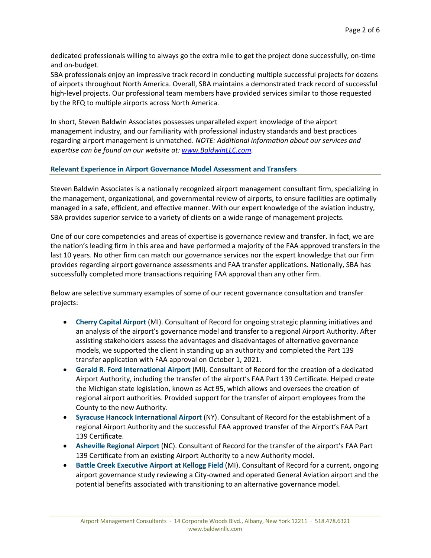dedicated professionals willing to always go the extra mile to get the project done successfully, on-time and on-budget.

SBA professionals enjoy an impressive track record in conducting multiple successful projects for dozens of airports throughout North America. Overall, SBA maintains a demonstrated track record of successful high-level projects. Our professional team members have provided services similar to those requested by the RFQ to multiple airports across North America.

In short, Steven Baldwin Associates possesses unparalleled expert knowledge of the airport management industry, and our familiarity with professional industry standards and best practices regarding airport management is unmatched. *NOTE: Additional information about our services and expertise can be found on our website at: www.BaldwinLLC.com.* 

## **Relevant Experience in Airport Governance Model Assessment and Transfers**

Steven Baldwin Associates is a nationally recognized airport management consultant firm, specializing in the management, organizational, and governmental review of airports, to ensure facilities are optimally managed in a safe, efficient, and effective manner. With our expert knowledge of the aviation industry, SBA provides superior service to a variety of clients on a wide range of management projects.

One of our core competencies and areas of expertise is governance review and transfer. In fact, we are the nation's leading firm in this area and have performed a majority of the FAA approved transfers in the last 10 years. No other firm can match our governance services nor the expert knowledge that our firm provides regarding airport governance assessments and FAA transfer applications. Nationally, SBA has successfully completed more transactions requiring FAA approval than any other firm.

Below are selective summary examples of some of our recent governance consultation and transfer projects:

- **Cherry Capital Airport** (MI). Consultant of Record for ongoing strategic planning initiatives and an analysis of the airport's governance model and transfer to a regional Airport Authority. After assisting stakeholders assess the advantages and disadvantages of alternative governance models, we supported the client in standing up an authority and completed the Part 139 transfer application with FAA approval on October 1, 2021.
- **Gerald R. Ford International Airport** (MI). Consultant of Record for the creation of a dedicated Airport Authority, including the transfer of the airport's FAA Part 139 Certificate. Helped create the Michigan state legislation, known as Act 95, which allows and oversees the creation of regional airport authorities. Provided support for the transfer of airport employees from the County to the new Authority.
- **Syracuse Hancock International Airport** (NY). Consultant of Record for the establishment of a regional Airport Authority and the successful FAA approved transfer of the Airport's FAA Part 139 Certificate.
- **Asheville Regional Airport** (NC). Consultant of Record for the transfer of the airport's FAA Part 139 Certificate from an existing Airport Authority to a new Authority model.
- **Battle Creek Executive Airport at Kellogg Field** (MI). Consultant of Record for a current, ongoing airport governance study reviewing a City-owned and operated General Aviation airport and the potential benefits associated with transitioning to an alternative governance model.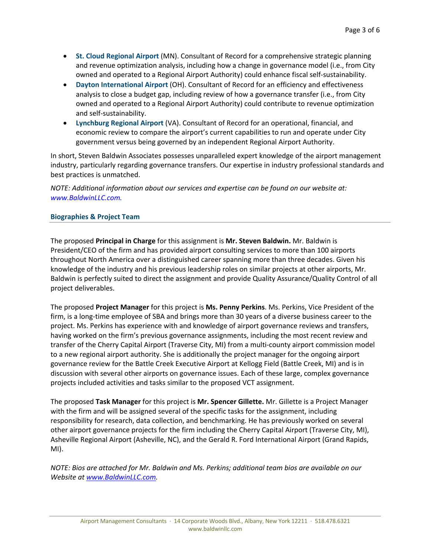- **St. Cloud Regional Airport** (MN). Consultant of Record for a comprehensive strategic planning and revenue optimization analysis, including how a change in governance model (i.e., from City owned and operated to a Regional Airport Authority) could enhance fiscal self-sustainability.
- **Dayton International Airport** (OH). Consultant of Record for an efficiency and effectiveness analysis to close a budget gap, including review of how a governance transfer (i.e., from City owned and operated to a Regional Airport Authority) could contribute to revenue optimization and self-sustainability.
- **Lynchburg Regional Airport** (VA). Consultant of Record for an operational, financial, and economic review to compare the airport's current capabilities to run and operate under City government versus being governed by an independent Regional Airport Authority.

In short, Steven Baldwin Associates possesses unparalleled expert knowledge of the airport management industry, particularly regarding governance transfers. Our expertise in industry professional standards and best practices is unmatched.

*NOTE: Additional information about our services and expertise can be found on our website at: www.BaldwinLLC.com.*

## **Biographies & Project Team**

The proposed **Principal in Charge** for this assignment is **Mr. Steven Baldwin.** Mr. Baldwin is President/CEO of the firm and has provided airport consulting services to more than 100 airports throughout North America over a distinguished career spanning more than three decades. Given his knowledge of the industry and his previous leadership roles on similar projects at other airports, Mr. Baldwin is perfectly suited to direct the assignment and provide Quality Assurance/Quality Control of all project deliverables.

The proposed **Project Manager** for this project is **Ms. Penny Perkins**. Ms. Perkins, Vice President of the firm, is a long-time employee of SBA and brings more than 30 years of a diverse business career to the project. Ms. Perkins has experience with and knowledge of airport governance reviews and transfers, having worked on the firm's previous governance assignments, including the most recent review and transfer of the Cherry Capital Airport (Traverse City, MI) from a multi-county airport commission model to a new regional airport authority. She is additionally the project manager for the ongoing airport governance review for the Battle Creek Executive Airport at Kellogg Field (Battle Creek, MI) and is in discussion with several other airports on governance issues. Each of these large, complex governance projects included activities and tasks similar to the proposed VCT assignment.

The proposed **Task Manager** for this project is **Mr. Spencer Gillette.** Mr. Gillette is a Project Manager with the firm and will be assigned several of the specific tasks for the assignment, including responsibility for research, data collection, and benchmarking. He has previously worked on several other airport governance projects for the firm including the Cherry Capital Airport (Traverse City, MI), Asheville Regional Airport (Asheville, NC), and the Gerald R. Ford International Airport (Grand Rapids, MI).

*NOTE: Bios are attached for Mr. Baldwin and Ms. Perkins; additional team bios are available on our Website at www.BaldwinLLC.com.*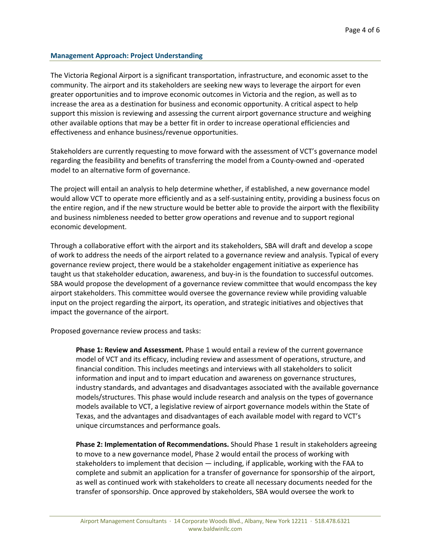## **Management Approach: Project Understanding**

The Victoria Regional Airport is a significant transportation, infrastructure, and economic asset to the community. The airport and its stakeholders are seeking new ways to leverage the airport for even greater opportunities and to improve economic outcomes in Victoria and the region, as well as to increase the area as a destination for business and economic opportunity. A critical aspect to help support this mission is reviewing and assessing the current airport governance structure and weighing other available options that may be a better fit in order to increase operational efficiencies and effectiveness and enhance business/revenue opportunities.

Stakeholders are currently requesting to move forward with the assessment of VCT's governance model regarding the feasibility and benefits of transferring the model from a County-owned and -operated model to an alternative form of governance.

The project will entail an analysis to help determine whether, if established, a new governance model would allow VCT to operate more efficiently and as a self-sustaining entity, providing a business focus on the entire region, and if the new structure would be better able to provide the airport with the flexibility and business nimbleness needed to better grow operations and revenue and to support regional economic development.

Through a collaborative effort with the airport and its stakeholders, SBA will draft and develop a scope of work to address the needs of the airport related to a governance review and analysis. Typical of every governance review project, there would be a stakeholder engagement initiative as experience has taught us that stakeholder education, awareness, and buy-in is the foundation to successful outcomes. SBA would propose the development of a governance review committee that would encompass the key airport stakeholders. This committee would oversee the governance review while providing valuable input on the project regarding the airport, its operation, and strategic initiatives and objectives that impact the governance of the airport.

Proposed governance review process and tasks:

**Phase 1: Review and Assessment.** Phase 1 would entail a review of the current governance model of VCT and its efficacy, including review and assessment of operations, structure, and financial condition. This includes meetings and interviews with all stakeholders to solicit information and input and to impart education and awareness on governance structures, industry standards, and advantages and disadvantages associated with the available governance models/structures. This phase would include research and analysis on the types of governance models available to VCT, a legislative review of airport governance models within the State of Texas, and the advantages and disadvantages of each available model with regard to VCT's unique circumstances and performance goals.

**Phase 2: Implementation of Recommendations.** Should Phase 1 result in stakeholders agreeing to move to a new governance model, Phase 2 would entail the process of working with stakeholders to implement that decision — including, if applicable, working with the FAA to complete and submit an application for a transfer of governance for sponsorship of the airport, as well as continued work with stakeholders to create all necessary documents needed for the transfer of sponsorship. Once approved by stakeholders, SBA would oversee the work to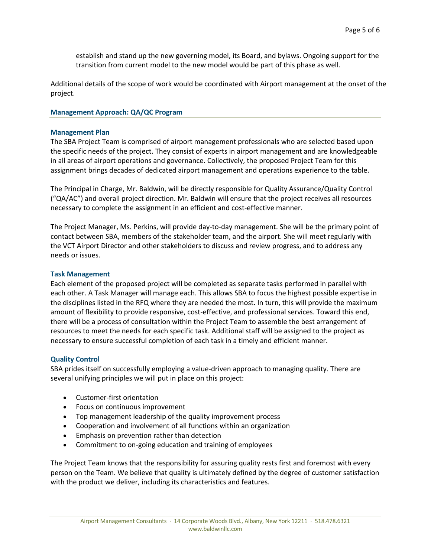establish and stand up the new governing model, its Board, and bylaws. Ongoing support for the transition from current model to the new model would be part of this phase as well.

Additional details of the scope of work would be coordinated with Airport management at the onset of the project.

### **Management Approach: QA/QC Program**

#### **Management Plan**

The SBA Project Team is comprised of airport management professionals who are selected based upon the specific needs of the project. They consist of experts in airport management and are knowledgeable in all areas of airport operations and governance. Collectively, the proposed Project Team for this assignment brings decades of dedicated airport management and operations experience to the table.

The Principal in Charge, Mr. Baldwin, will be directly responsible for Quality Assurance/Quality Control ("QA/AC") and overall project direction. Mr. Baldwin will ensure that the project receives all resources necessary to complete the assignment in an efficient and cost-effective manner.

The Project Manager, Ms. Perkins, will provide day-to-day management. She will be the primary point of contact between SBA, members of the stakeholder team, and the airport. She will meet regularly with the VCT Airport Director and other stakeholders to discuss and review progress, and to address any needs or issues.

#### **Task Management**

Each element of the proposed project will be completed as separate tasks performed in parallel with each other. A Task Manager will manage each. This allows SBA to focus the highest possible expertise in the disciplines listed in the RFQ where they are needed the most. In turn, this will provide the maximum amount of flexibility to provide responsive, cost-effective, and professional services. Toward this end, there will be a process of consultation within the Project Team to assemble the best arrangement of resources to meet the needs for each specific task. Additional staff will be assigned to the project as necessary to ensure successful completion of each task in a timely and efficient manner.

## **Quality Control**

SBA prides itself on successfully employing a value-driven approach to managing quality. There are several unifying principles we will put in place on this project:

- Customer-first orientation
- Focus on continuous improvement
- Top management leadership of the quality improvement process
- Cooperation and involvement of all functions within an organization
- Emphasis on prevention rather than detection
- Commitment to on-going education and training of employees

The Project Team knows that the responsibility for assuring quality rests first and foremost with every person on the Team. We believe that quality is ultimately defined by the degree of customer satisfaction with the product we deliver, including its characteristics and features.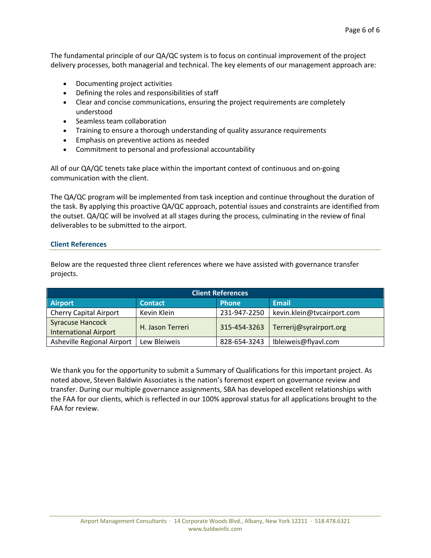The fundamental principle of our QA/QC system is to focus on continual improvement of the project delivery processes, both managerial and technical. The key elements of our management approach are:

- Documenting project activities
- Defining the roles and responsibilities of staff
- Clear and concise communications, ensuring the project requirements are completely understood
- Seamless team collaboration
- Training to ensure a thorough understanding of quality assurance requirements
- Emphasis on preventive actions as needed
- Commitment to personal and professional accountability

All of our QA/QC tenets take place within the important context of continuous and on-going communication with the client.

The QA/QC program will be implemented from task inception and continue throughout the duration of the task. By applying this proactive QA/QC approach, potential issues and constraints are identified from the outset. QA/QC will be involved at all stages during the process, culminating in the review of final deliverables to be submitted to the airport.

## **Client References**

Below are the requested three client references where we have assisted with governance transfer projects.

| <b>Client References</b>      |                  |              |                            |  |
|-------------------------------|------------------|--------------|----------------------------|--|
| <b>Airport</b>                | <b>Contact</b>   | <b>Phone</b> | Email                      |  |
| <b>Cherry Capital Airport</b> | Kevin Klein      | 231-947-2250 | kevin.klein@tvcairport.com |  |
| Syracuse Hancock              | H. Jason Terreri | 315-454-3263 | Terrerij@syrairport.org    |  |
| <b>International Airport</b>  |                  |              |                            |  |
| Asheville Regional Airport    | Lew Bleiweis     | 828-654-3243 | lbleiweis@flyavl.com       |  |

We thank you for the opportunity to submit a Summary of Qualifications for this important project. As noted above, Steven Baldwin Associates is the nation's foremost expert on governance review and transfer. During our multiple governance assignments, SBA has developed excellent relationships with the FAA for our clients, which is reflected in our 100% approval status for all applications brought to the FAA for review.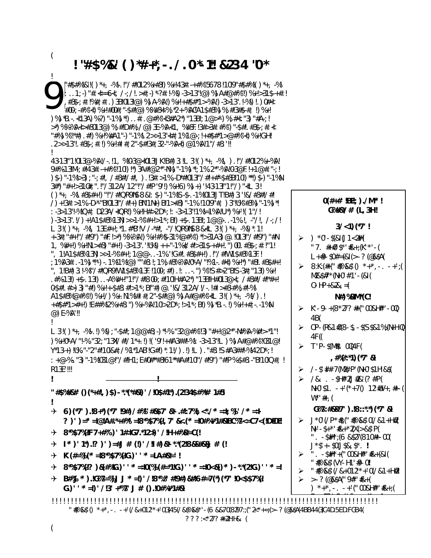| ! "#\$%&′ ( )*#+*, -. /. O*-1*! &23 4 "O*                                                                                                                                                                                                                                                                                                                                                                                                                                                                                                                                                                                                                                                                                                                                                                                                                                                                                                                                                                                                                                                                                                                                                                                                                                                                                                                                                                                                                                                                                                                                                                                                                                 |                                                                                                                                                                                                                                                                                                                                             |
|---------------------------------------------------------------------------------------------------------------------------------------------------------------------------------------------------------------------------------------------------------------------------------------------------------------------------------------------------------------------------------------------------------------------------------------------------------------------------------------------------------------------------------------------------------------------------------------------------------------------------------------------------------------------------------------------------------------------------------------------------------------------------------------------------------------------------------------------------------------------------------------------------------------------------------------------------------------------------------------------------------------------------------------------------------------------------------------------------------------------------------------------------------------------------------------------------------------------------------------------------------------------------------------------------------------------------------------------------------------------------------------------------------------------------------------------------------------------------------------------------------------------------------------------------------------------------------------------------------------------------------------------------------------------------|---------------------------------------------------------------------------------------------------------------------------------------------------------------------------------------------------------------------------------------------------------------------------------------------------------------------------------------------|
| "#\$#%!&'!()*+,  -%!-.!"/#!012%+#3!)%+!43#.-+#%"5678!10!9"#\$#%!()*+,  -%!<br><b>"</b> #00-;-#%"d)%+!#00#;"-\$#!@)%%#3d-%;*2+-%AC!A1\$#3%)%;#!3#\$-#, !)%+!<br>)%)*B.-. <l13a)%-?)"-1%)*!)#@#%"<!3#a2*)"13b!;1@>*-)%;#<!--."3)"#A-;!<br-->&gt;*)%%-%Ad&gt;#3013@)%;#!D#%;/@)3E-%Ad1, %#3F.!3#&gt;3#.#%")"-\$#!.#3\$-;#.d<br/>"#%)%"!*#).#!)%+!%#A1"-)"-1%!.2&gt;&gt;13"d#;1%1@-;!+#\$#*1&gt;@#%"d)%+!GH!<br/>.2&gt;&gt;13"!.#3\$-;#.!)%+!#I#;2"-\$#!3#;32-"-%Ad)@1%A!1"/#3.'!!</l13a)%-?)"-1%)*!)#@#%"<!3#a2*)"13b!;1@>                                                                                                                                                                                                                                                                                                                                                                                                                                                                                                                                                                                                                                                                                                                                                                                                                                                                                                                                                                                                                                                                                                                                                   |                                                                                                                                                                                                                                                                                                                                             |
| 43-13!"1!013@-%A!/-.!1, %!0-3@<013!JK!B#)3.!L3'!()*+, -%!, ).!"/#!012%+-%A!<br>$9#$ %-13!M-; #!43#.-+#%"!10!)!*)3A#!@2*"-N%)"-1%)*!; 1%.2*"-%A!0-3@F.!+1@#."-;!<br>)\$-)"-1%!>3);"-;#!, /#3#!/#!, ).!3#.>1%.-D*#!013!"/#!+#*-\$#3B!10!)**!)\$-)"-1%N<br>3#*)"#+!>310#;".!"/312A/12"!"/#!P'9'!)%+!6)%)+)'!43-13!"1!"/)" <ll3'!<br><math>()^*</math>+, <math>-</math>%!. #3\$#+!) "!"/#!QR9NS8&amp;!: \$-)"-1%!S-\$-.-1%!013!JT!B#)3.'!&amp;/#3#!/#!<br/>/) +!3#. &gt;1%. -D-*-"B!013!"/#!+)BN"1N+)B!1&gt;#3)"-1%.!10!9"#, )3"!U%"#3%)"-1%)*!<br/>: -3&gt;13"!-%!Q#, D23A/<!--QR!)%+!H#-->2D*-;!: -3&gt;13"!1%!=1%A!!J.*)%+'!(1"/!<br/><math>(-3&gt;13".!/</math> +!A1\$#3%13N)&gt;&gt;1-%"#+!&gt;1*-;B!)+\$-.13B!;1@@--1%.!,-"/!, /-;/!<br/>L3'!()*+, -%!, 13E#+!;*1.#*B'!V/-*#!, -"/!QR9NS8&amp;dL3'!()*+, -%!)*.1!<br/>+-3#;"#+!"/#!9")"#F.!&gt;*)%%-%A!)%+!#%\$-31%@#%")*!&gt;31A3)@.!013!"/#!9")"#N<br/><math>1,</math> %#+!)%+!N1&gt;#3)"#+!)-3&gt;13".'!U%!)++-"-1%<!--/#!-->31\$-+#+!.")00!.#3\$-;#.!"1!<br/>", 1!A1\$#3%13N)&gt;&gt;1-%"#+!; 1@@--1%. '!G#!. #3\$#+!) .!"/#!W1\$#3%13F. !<br/>; 1%A3#. . -1%)*!*-)-. 1%!1%!@)""#3.!; 1%; #3%-%A!0*-A/"!%1-. #<l)%+!*)"#3!. #3\$#+!<br="">", 1!B#)3.!-%!"/#!QR9!W1\$#3%13F.!100-;#!).!: -.")%"!S#&gt;2"B!S-3#;"13!)%+!<br/>.#%-13!)+\$-.13!)-A%#+!"1!"/#!800-;#!10!H#A2*)"13B!H#013@<!--, /#3#!/#!*#+!<br-->0-\$#!.#&gt;)3)"#!)%+!+-\$#3.#!&gt;1*-;B!"#)@.'!&amp;/312A/!/-.!#I&gt;#3-#%;#!-%!<br/>A1\$#3%@#%"!)%+!/)%+.N1%!#I#;2"-\$#!@)%)A#@#%"<!--L3'!()*+, -%!/).!<br-->+#\$#*1&gt;#+!)!E##%!2%+#3.")%+-%A!10!&gt;2D*-;!&gt;1*-;B!)%)*B.-.!)%+!+#;-.-1%N<br/>@) <math>E - %A'</math>!!</l)%+!*)"#3!.></ll3'!<br> | $0$ (#+#' !BE!; )./M*' !<br>$G\#8^*/\#'$ (L, 3H!<br>$3/1$ $(1)'$<br>) *0'-\$(&I(J1<2\HI(<br>"7. $\#+\#0'\$ *' $\#8$ +;(K'*'-(<br>L+#9-\$0#'=(&I(>-?(@&\$A(<br>8:K: $(\#+($ " #\$%&\$'() *+*, -. -+';(<br>➤<br>$M2&$ \$#7 * (N+0' #' 1 ' – (&I)<br>$0 - HP + 828, = ($<br>$N#$ ) %&! $M^*(C!$<br>K'-9-+( $8*27$ ?#+("00&H#*'-00(<br>➤<br>4B( |
| L3'!()*+, -%!-.!)%!);"-\$#!;1@@#3;-)*!-%."32@#%"!3)"#+!@2*"-N#%A-%#!>-*1"!<br>)%+!0*-A/"!-%."32;"13X!/#!/1*+.!)!('9'!+#A3##!-%!: -3>13"!L)%)A#@#%"!031@!<br>Y*13-+)!U%."-"2"#!10!&#;/%1*1AB'!G#!)*.1!/).!)!L)."#3.!S#A3##!-%!42D*-;!<br>: +@-%. "3)"-1%!031@!"/#!H1;E#0#**#3!61**#A#!10!"/#!9")"#!P%-\$#3.-"B!10!Q#, !<br>R13E' !!!                                                                                                                                                                                                                                                                                                                                                                                                                                                                                                                                                                                                                                                                                                                                                                                                                                                                                                                                                                                                                                                                                                                                                                                                                                                                                                                                       | $OP - (R&1#0(8-), -$(S$&1%; (N+H:0($<br>4F((<br>$T'P-\$(M\$. 00(4F))$<br>, $\#$ %(*:*1)(*7′ &!<br>/-\$'#I#-7(M2#, P'(N+0'\$1H'&\$(                                                                                                                                                                                                          |
| "#\$%#&#' ()(*+#!,)\$)-*.*(*#&!)' /!0\$#1*).(2!34\$#%*#' 1#5!</td><td><math>\triangleright</math> /& -\$H#*2(J#2&'(?#'P(<br><math>N+0'</math>\$1. -+'(*+7() 12'#UV+,#+-(<br><math>W^*</math>'#+, (</td></tr><tr><td><math>\rightarrow</math> 6)(*7').18+*)(*7'19#)/#%!"#&\$7'&*-.#!:7%!; <*./*'=>!; %)'/*'=>!<br>?)')=*' =!@!A#.*+#%*' =!8*%\$7%(!, 7' &<.(*' =!0#%+*1#&!BC%7<=C7<(!DE0E!<br><math>\rightarrow</math> 8*%\$7%(!F7+#%')' 1#>!G7.*12>!)' /!H+#%&*=C(!<br><math>\rightarrow</math>  *')'1*).!?)')=#J#'(!)'/!!#)&*-*.*(2!8&&#&&J#'(!<br><math>K'</math> (#=%) (*' =!8*%\$7%(!G.)'' *' =LA#&*='!<br><math>\rightarrow</math><br><math>\rightarrow</math> 8*%\$7%(!?)&(#%!G.)''*'=>!0(%)(#=*1!G.)''*'=>!0<&()*')-*.*(2!G.)''*' =!<br><math>\rightarrow</math> B#%J*').!G%7=%)JJ*'=!)'/!8*%*'#!9#)&#!6#=7(*)(*7'!0<\$\$7%(!<br>G.)'' *' =!)' /!3' + *%7' <math>J #'</math> ().!0#%+ *1#&!</td><td><math>G\</math>7: #88*7').<math>18::</math>*.*)(*7' & !<br>> J*0'(/P*#\$;("#\$%&\$'0(/&1+H#2(<br><math>N+'-\\$+*'+R+*2(X)&gt;R^*P</math><br>. <math>-</math>\$#H*;(6&\$27(810#+-00(<br><math>J *</math>\$'+-\$0(<math>J</math>\$&, \$*.!<br>". <math>-</math>\$#H*+("00&H#*'#&+(&I(<br>"#\$%&\$'(VY-H1'#9-0!<br><math>\ge</math> "#\$%&\$'(/&+012'*+'0(/&1+H#2!)<br><math>\geq</math> >-?(@&\$A("9#*'#&+(<br>) *+*, -. -+'("00&H#*'#&+;(</td></tr><tr><td></td><td></td></tr></tbody></table>                                                                                                                                                                                                                                                                  |                                                                                                                                                                                                                                                                                                                                             |

" $\frac{1}{2}$ %%\$'() \*+\*,-. -+'(/&+012'\*+'0(3(45(/&\$%&\$\*'-(6&&70(8297:;("2<\*+=;(>-?(@&\$A(4BB44(3(C4D:5ED:FGB4(

???:<\*27?#+20H:H&. (

 $\big($